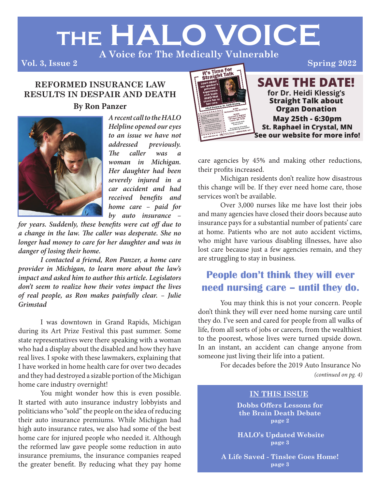# **THE HALO VOICE**

**A Voice for The Medically Vulnerable**

**Vol. 3, Issue 2**

#### **REFORMED INSURANCE LAW RESULTS IN DESPAIR AND DEATH**

#### **By Ron Panzer**



*A recent call to the HALO Helpline opened our eyes to an issue we have not addressed previously. The caller was woman in Michigan. Her daughter had been severely injured in a car accident and had received benefits and home care – paid for by auto insurance –* 

*for years. Suddenly, these benefits were cut off due to a change in the law. The caller was desperate. She no longer had money to care for her daughter and was in danger of losing their home.* 

*I contacted a friend, Ron Panzer, a home care provider in Michigan, to learn more about the law's impact and asked him to author this article. Legislators don't seem to realize how their votes impact the lives of real people, as Ron makes painfully clear. – Julie Grimstad*

I was downtown in Grand Rapids, Michigan during its Art Prize Festival this past summer. Some state representatives were there speaking with a woman who had a display about the disabled and how they have real lives. I spoke with these lawmakers, explaining that I have worked in home health care for over two decades and they had destroyed a sizable portion of the Michigan home care industry overnight!

You might wonder how this is even possible. It started with auto insurance industry lobbyists and politicians who "sold" the people on the idea of reducing their auto insurance premiums. While Michigan had high auto insurance rates, we also had some of the best home care for injured people who needed it. Although the reformed law gave people some reduction in auto insurance premiums, the insurance companies reaped the greater benefit. By reducing what they pay home



care agencies by 45% and making other reductions, their profits increased.

Michigan residents don't realize how disastrous this change will be. If they ever need home care, those services won't be available.

Over 3,000 nurses like me have lost their jobs and many agencies have closed their doors because auto insurance pays for a substantial number of patients' care at home. Patients who are not auto accident victims, who might have various disabling illnesses, have also lost care because just a few agencies remain, and they are struggling to stay in business.

# **People don't think they will ever need nursing care – until they do.**

You may think this is not your concern. People don't think they will ever need home nursing care until they do. I've seen and cared for people from all walks of life, from all sorts of jobs or careers, from the wealthiest to the poorest, whose lives were turned upside down. In an instant, an accident can change anyone from someone just living their life into a patient.

For decades before the 2019 Auto Insurance No *(continued on pg. 4)*

#### **IN THIS ISSUE**

**Dobbs Offers Lessons for the Brain Death Debate page 2**

 **HALO's Updated Website page 3**

**A Life Saved - Tinslee Goes Home! page 3**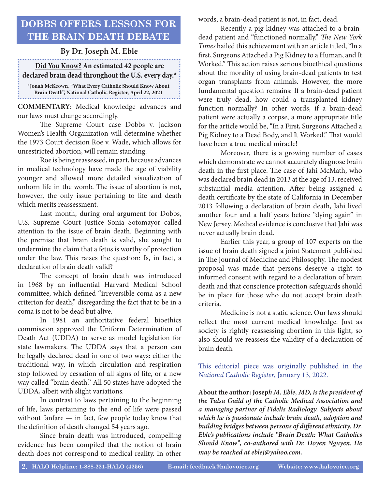## **DOBBS OFFERS LESSONS FOR THE BRAIN DEATH DEBATE**

#### **By Dr. Joseph M. Eble**

#### **Did You Know? An estimated 42 people are declared brain dead throughout the U.S. every day.\***

**\*Jonah McKeown, "What Every Catholic Should Know About Brain Death", National Catholic Register, April 22, 2021**

**COMMENTARY**: Medical knowledge advances and our laws must change accordingly.

The Supreme Court case Dobbs v. Jackson Women's Health Organization will determine whether the 1973 Court decision Roe v. Wade, which allows for unrestricted abortion, will remain standing.

Roe is being reassessed, in part, because advances in medical technology have made the age of viability younger and allowed more detailed visualization of unborn life in the womb. The issue of abortion is not, however, the only issue pertaining to life and death which merits reassessment.

Last month, during oral argument for Dobbs, U.S. Supreme Court Justice Sonia Sotomayor called attention to the issue of brain death. Beginning with the premise that brain death is valid, she sought to undermine the claim that a fetus is worthy of protection under the law. This raises the question: Is, in fact, a declaration of brain death valid?

The concept of brain death was introduced in 1968 by an influential Harvard Medical School committee, which defined "irreversible coma as a new criterion for death," disregarding the fact that to be in a coma is not to be dead but alive.

In 1981 an authoritative federal bioethics commission approved the Uniform Determination of Death Act (UDDA) to serve as model legislation for state lawmakers. The UDDA says that a person can be legally declared dead in one of two ways: either the traditional way, in which circulation and respiration stop followed by cessation of all signs of life, or a new way called "brain death." All 50 states have adopted the UDDA, albeit with slight variations.

In contrast to laws pertaining to the beginning of life, laws pertaining to the end of life were passed without fanfare — in fact, few people today know that the definition of death changed 54 years ago.

Since brain death was introduced, compelling evidence has been compiled that the notion of brain death does not correspond to medical reality. In other

words, a brain-dead patient is not, in fact, dead.

Recently a pig kidney was attached to a braindead patient and "functioned normally." *The New York Times* hailed this achievement with an article titled, "In a first, Surgeons Attached a Pig Kidney to a Human, and It Worked." This action raises serious bioethical questions about the morality of using brain-dead patients to test organ transplants from animals. However, the more fundamental question remains: If a brain-dead patient were truly dead, how could a transplanted kidney function normally? In other words, if a brain-dead patient were actually a corpse, a more appropriate title for the article would be, "In a First, Surgeons Attached a Pig Kidney to a Dead Body, and It Worked." That would have been a true medical miracle!

Moreover, there is a growing number of cases which demonstrate we cannot accurately diagnose brain death in the first place. The case of Jahi McMath, who was declared brain dead in 2013 at the age of 13, received substantial media attention. After being assigned a death certificate by the state of California in December 2013 following a declaration of brain death, Jahi lived another four and a half years before "dying again" in New Jersey. Medical evidence is conclusive that Jahi was never actually brain dead.

Earlier this year, a group of 107 experts on the issue of brain death signed a joint Statement published in The Journal of Medicine and Philosophy. The modest proposal was made that persons deserve a right to informed consent with regard to a declaration of brain death and that conscience protection safeguards should be in place for those who do not accept brain death criteria.

Medicine is not a static science. Our laws should reflect the most current medical knowledge. Just as society is rightly reassessing abortion in this light, so also should we reassess the validity of a declaration of brain death.

This editorial piece was originally published in the *National Catholic Register*, January 13, 2022.

**About the author: Josep***h M. Eble, MD, is the president of the Tulsa Guild of the Catholic Medical Association and a managing partner of Fidelis Radiology. Subjects about which he is passionate include brain death, adoption and building bridges between persons of different ethnicity. Dr. Eble's publications include "Brain Death: What Catholics Should Know", co-authored with Dr. Doyen Nguyen. He may be reached at eblej@yahoo.com.*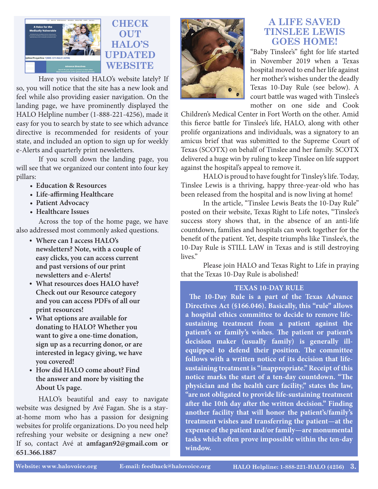

Have you visited HALO's website lately? If so, you will notice that the site has a new look and feel while also providing easier navigation. On the landing page, we have prominently displayed the HALO Helpline number (1-888-221-4256), made it easy for you to search by state to see which advance directive is recommended for residents of your state, and included an option to sign up for weekly e-Alerts and quarterly print newsletters.

If you scroll down the landing page, you will see that we organized our content into four key pillars:

- **Education & Resources**
- **Life-affirming Healthcare**
- **Patient Advocacy**
- **Healthcare Issues**

Across the top of the home page, we have also addressed most commonly asked questions.

- **Where can I access HALO's • newsletters? Note, with a couple of easy clicks, you can access current and past versions of our print newsletters and e-Alerts!**
- **What resources does HALO have? • Check out our Resource category and you can access PDFs of all our print resources!**
- **What options are available for • donating to HALO? Whether you want to give a one-time donation, sign up as a recurring donor, or are interested in legacy giving, we have you covered!**
- **How did HALO come about? Find • the answer and more by visiting the About Us page.**

HALO's beautiful and easy to navigate website was designed by Avé Fagan. She is a stayat-home mom who has a passion for designing websites for prolife organizations. Do you need help refreshing your website or designing a new one? If so, contact Avé at **amfagan92@gmail.com or 651.366.1887**



### **A LIFE SAVED TINSLEE LEWIS GOES HOME!**

"Baby Tinslee's" fight for life started in November 2019 when a Texas hospital moved to end her life against her mother's wishes under the deadly Texas 10-Day Rule (see below). A court battle was waged with Tinslee's mother on one side and Cook

Children's Medical Center in Fort Worth on the other. Amid this fierce battle for Tinslee's life, HALO, along with other prolife organizations and individuals, was a signatory to an amicus brief that was submitted to the Supreme Court of Texas (SCOTX) on behalf of Tinslee and her family. SCOTX delivered a huge win by ruling to keep Tinslee on life support against the hospital's appeal to remove it.

HALO is proud to have fought for Tinsley's life. Today, Tinslee Lewis is a thriving, happy three-year-old who has been released from the hospital and is now living at home!

In the article, "Tinslee Lewis Beats the 10-Day Rule" posted on their website, Texas Right to Life notes, "Tinslee's success story shows that, in the absence of an anti-life countdown, families and hospitals can work together for the benefit of the patient. Yet, despite triumphs like Tinslee's, the 10-Day Rule is STILL LAW in Texas and is still destroying lives."

Please join HALO and Texas Right to Life in praying that the Texas 10-Day Rule is abolished!

#### **TEXAS 10-DAY RULE**

 **The 10-Day Rule is a part of the Texas Advance Directives Act (§166.046). Basically, this "rule" allows a hospital ethics committee to decide to remove lifesustaining treatment from a patient against the patient's or family's wishes. The patient or patient's decision maker (usually family) is generally illequipped to defend their position. The committee follows with a written notice of its decision that lifesustaining treatment is "inappropriate." Receipt of this notice marks the start of a ten-day countdown. "The physician and the health care facility," states the law, "are not obligated to provide life-sustaining treatment after the 10th day after the written decision." Finding another facility that will honor the patient's/family's treatment wishes and transferring the patient—at the expense of the patient and/or family—are monumental tasks which often prove impossible within the ten-day window.**